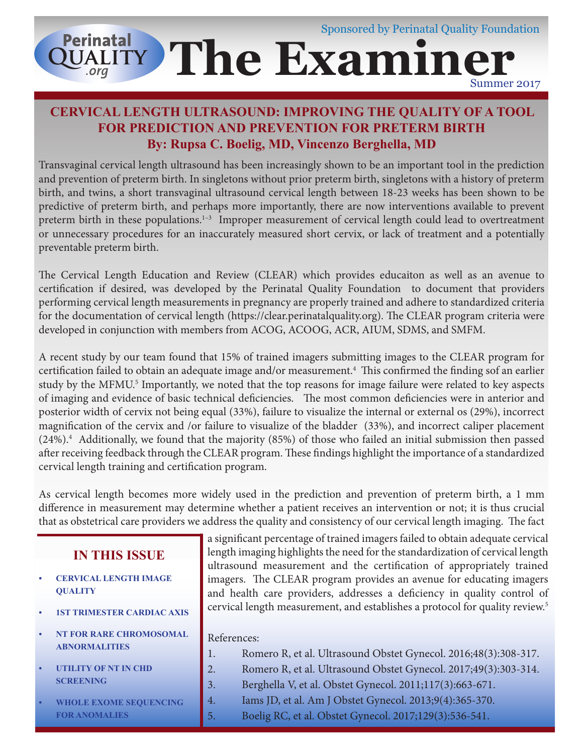#### Sponsored by Perinatal Quality Foundation **Perinatal The Examiner OUALITY** Summer 2017

### **CERVICAL LENGTH ULTRASOUND: IMPROVING THE QUALITY OF A TOOL FOR PREDICTION AND PREVENTION FOR PRETERM BIRTH By: Rupsa C. Boelig, MD, Vincenzo Berghella, MD**

Transvaginal cervical length ultrasound has been increasingly shown to be an important tool in the prediction and prevention of preterm birth. In singletons without prior preterm birth, singletons with a history of preterm birth, and twins, a short transvaginal ultrasound cervical length between 18-23 weeks has been shown to be predictive of preterm birth, and perhaps more importantly, there are now interventions available to prevent preterm birth in these populations.<sup>1-3</sup> Improper measurement of cervical length could lead to overtreatment or unnecessary procedures for an inaccurately measured short cervix, or lack of treatment and a potentially preventable preterm birth.

The Cervical Length Education and Review (CLEAR) which provides educaiton as well as an avenue to certification if desired, was developed by the Perinatal Quality Foundation to document that providers performing cervical length measurements in pregnancy are properly trained and adhere to standardized criteria for the documentation of cervical length (https://clear.perinatalquality.org). The CLEAR program criteria were developed in conjunction with members from ACOG, ACOOG, ACR, AIUM, SDMS, and SMFM.

A recent study by our team found that 15% of trained imagers submitting images to the CLEAR program for certification failed to obtain an adequate image and/or measurement.<sup>4</sup> This confirmed the finding sof an earlier study by the MFMU.<sup>5</sup> Importantly, we noted that the top reasons for image failure were related to key aspects of imaging and evidence of basic technical deficiencies. The most common deficiencies were in anterior and posterior width of cervix not being equal (33%), failure to visualize the internal or external os (29%), incorrect magnification of the cervix and /or failure to visualize of the bladder (33%), and incorrect caliper placement (24%).<sup>4</sup> Additionally, we found that the majority (85%) of those who failed an initial submission then passed after receiving feedback through the CLEAR program. These findings highlight the importance of a standardized cervical length training and certification program.

As cervical length becomes more widely used in the prediction and prevention of preterm birth, a 1 mm difference in measurement may determine whether a patient receives an intervention or not; it is thus crucial that as obstetrical care providers we address the quality and consistency of our cervical length imaging. The fact

#### **IN THIS ISSUE**

- **• CERVICAL LENGTH IMAGE QUALITY**
- **• 1ST TRIMESTER CARDIAC AXIS**
- **• NT FOR RARE CHROMOSOMAL ABNORMALITIES**
- **• UTILITY OF NT IN CHD SCREENING**
- **• WHOLE EXOME SEQUENCING FOR ANOMALIES**

a significant percentage of trained imagers failed to obtain adequate cervical length imaging highlights the need for the standardization of cervical length ultrasound measurement and the certification of appropriately trained imagers. The CLEAR program provides an avenue for educating imagers and health care providers, addresses a deficiency in quality control of cervical length measurement, and establishes a protocol for quality review.<sup>5</sup>

#### References:

- 1. Romero R, et al. Ultrasound Obstet Gynecol. 2016;48(3):308-317.
- 2. Romero R, et al. Ultrasound Obstet Gynecol. 2017;49(3):303-314.
- 3. Berghella V, et al. Obstet Gynecol. 2011;117(3):663-671.
- 4. Iams JD, et al. Am J Obstet Gynecol. 2013;9(4):365-370.
- 5. Boelig RC, et al. Obstet Gynecol. 2017;129(3):536-541.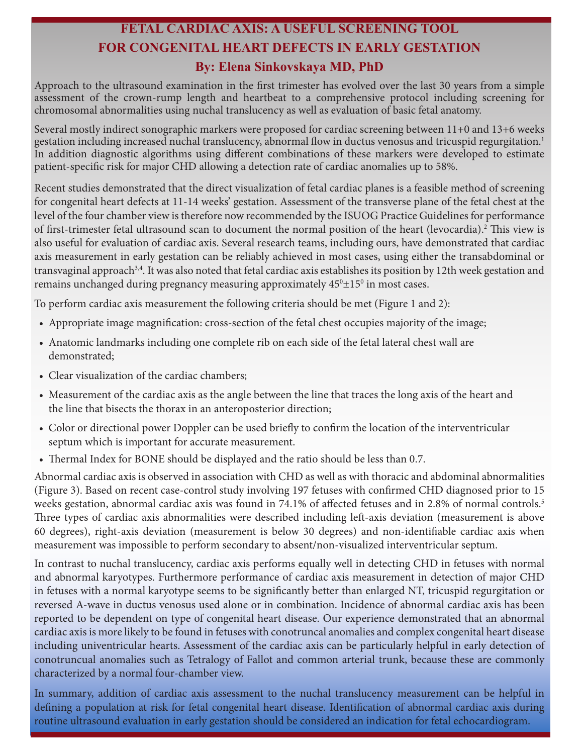## **FETAL CARDIAC AXIS: A USEFUL SCREENING TOOL FOR CONGENITAL HEART DEFECTS IN EARLY GESTATION By: Elena Sinkovskaya MD, PhD**

Approach to the ultrasound examination in the first trimester has evolved over the last 30 years from a simple assessment of the crown-rump length and heartbeat to a comprehensive protocol including screening for chromosomal abnormalities using nuchal translucency as well as evaluation of basic fetal anatomy.

Several mostly indirect sonographic markers were proposed for cardiac screening between 11+0 and 13+6 weeks gestation including increased nuchal translucency, abnormal flow in ductus venosus and tricuspid regurgitation.<sup>1</sup> In addition diagnostic algorithms using different combinations of these markers were developed to estimate patient-specific risk for major CHD allowing a detection rate of cardiac anomalies up to 58%.

Recent studies demonstrated that the direct visualization of fetal cardiac planes is a feasible method of screening for congenital heart defects at 11-14 weeks' gestation. Assessment of the transverse plane of the fetal chest at the level of the four chamber view is therefore now recommended by the ISUOG Practice Guidelines for performance of first-trimester fetal ultrasound scan to document the normal position of the heart (levocardia).<sup>2</sup> This view is also useful for evaluation of cardiac axis. Several research teams, including ours, have demonstrated that cardiac axis measurement in early gestation can be reliably achieved in most cases, using either the transabdominal or transvaginal approach3,4. It was also noted that fetal cardiac axis establishes its position by 12th week gestation and remains unchanged during pregnancy measuring approximately  $45^{\rm o}{\pm}15^{\rm o}$  in most cases.

To perform cardiac axis measurement the following criteria should be met (Figure 1 and 2):

- Appropriate image magnification: cross-section of the fetal chest occupies majority of the image;
- Anatomic landmarks including one complete rib on each side of the fetal lateral chest wall are demonstrated;
- Clear visualization of the cardiac chambers;
- Measurement of the cardiac axis as the angle between the line that traces the long axis of the heart and the line that bisects the thorax in an anteroposterior direction;
- Color or directional power Doppler can be used briefly to confirm the location of the interventricular septum which is important for accurate measurement.
- Thermal Index for BONE should be displayed and the ratio should be less than 0.7.

Abnormal cardiac axis is observed in association with CHD as well as with thoracic and abdominal abnormalities (Figure 3). Based on recent case-control study involving 197 fetuses with confirmed CHD diagnosed prior to 15 weeks gestation, abnormal cardiac axis was found in 74.1% of affected fetuses and in 2.8% of normal controls.<sup>5</sup> Three types of cardiac axis abnormalities were described including left-axis deviation (measurement is above 60 degrees), right-axis deviation (measurement is below 30 degrees) and non-identifiable cardiac axis when measurement was impossible to perform secondary to absent/non-visualized interventricular septum.

In contrast to nuchal translucency, cardiac axis performs equally well in detecting CHD in fetuses with normal and abnormal karyotypes. Furthermore performance of cardiac axis measurement in detection of major CHD in fetuses with a normal karyotype seems to be significantly better than enlarged NT, tricuspid regurgitation or reversed A-wave in ductus venosus used alone or in combination. Incidence of abnormal cardiac axis has been reported to be dependent on type of congenital heart disease. Our experience demonstrated that an abnormal cardiac axis is more likely to be found in fetuses with conotruncal anomalies and complex congenital heart disease including univentricular hearts. Assessment of the cardiac axis can be particularly helpful in early detection of conotruncual anomalies such as Tetralogy of Fallot and common arterial trunk, because these are commonly characterized by a normal four-chamber view.

In summary, addition of cardiac axis assessment to the nuchal translucency measurement can be helpful in defining a population at risk for fetal congenital heart disease. Identification of abnormal cardiac axis during routine ultrasound evaluation in early gestation should be considered an indication for fetal echocardiogram.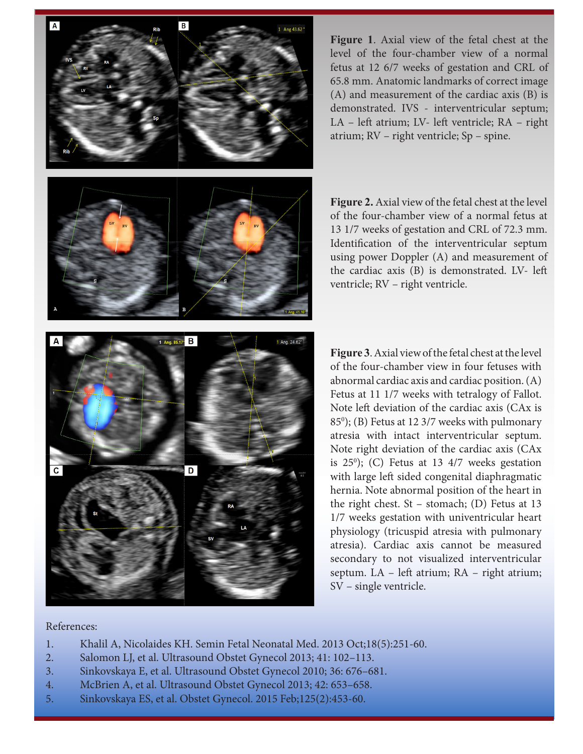$\overline{A}$  $\overline{B}$ 

**Figure 1**. Axial view of the fetal chest at the level of the four-chamber view of a normal fetus at 12 6/7 weeks of gestation and CRL of 65.8 mm. Anatomic landmarks of correct image (A) and measurement of the cardiac axis (B) is demonstrated. IVS - interventricular septum; LA – left atrium; LV- left ventricle; RA – right atrium; RV – right ventricle; Sp – spine.

**Figure 2.** Axial view of the fetal chest at the level of the four-chamber view of a normal fetus at 13 1/7 weeks of gestation and CRL of 72.3 mm. Identification of the interventricular septum using power Doppler (A) and measurement of the cardiac axis (B) is demonstrated. LV- left ventricle; RV – right ventricle.



**Figure 3**. Axial view of the fetal chest at the level of the four-chamber view in four fetuses with abnormal cardiac axis and cardiac position. (A) Fetus at 11 1/7 weeks with tetralogy of Fallot. Note left deviation of the cardiac axis (CAx is 850 ); (B) Fetus at 12 3/7 weeks with pulmonary atresia with intact interventricular septum. Note right deviation of the cardiac axis (CAx is 250 ); (C) Fetus at 13 4/7 weeks gestation with large left sided congenital diaphragmatic hernia. Note abnormal position of the heart in the right chest. St – stomach; (D) Fetus at 13 1/7 weeks gestation with univentricular heart physiology (tricuspid atresia with pulmonary atresia). Cardiac axis cannot be measured secondary to not visualized interventricular septum. LA – left atrium; RA – right atrium; SV – single ventricle.

#### References:

- 1. Khalil A, Nicolaides KH. Semin Fetal Neonatal Med. 2013 Oct;18(5):251-60.
- 2. Salomon LJ, et al. Ultrasound Obstet Gynecol 2013; 41: 102–113.
- 3. Sinkovskaya E, et al. Ultrasound Obstet Gynecol 2010; 36: 676–681.
- 4. McBrien A, et al. Ultrasound Obstet Gynecol 2013; 42: 653–658.
- 5. Sinkovskaya ES, et al. Obstet Gynecol. 2015 Feb;125(2):453-60.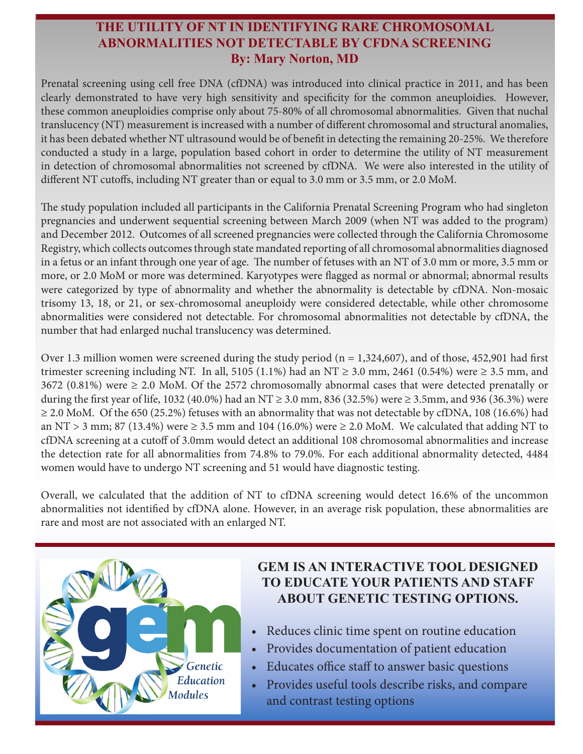### **THE UTILITY OF NT IN IDENTIFYING RARE CHROMOSOMAL ABNORMALITIES NOT DETECTABLE BY CFDNA SCREENING By: Mary Norton, MD**

Prenatal screening using cell free DNA (cfDNA) was introduced into clinical practice in 2011, and has been clearly demonstrated to have very high sensitivity and specificity for the common aneuploidies. However, these common aneuploidies comprise only about 75-80% of all chromosomal abnormalities. Given that nuchal translucency (NT) measurement is increased with a number of different chromosomal and structural anomalies, it has been debated whether NT ultrasound would be of benefit in detecting the remaining 20-25%. We therefore conducted a study in a large, population based cohort in order to determine the utility of NT measurement in detection of chromosomal abnormalities not screened by cfDNA. We were also interested in the utility of different NT cutoffs, including NT greater than or equal to 3.0 mm or 3.5 mm, or 2.0 MoM.

The study population included all participants in the California Prenatal Screening Program who had singleton pregnancies and underwent sequential screening between March 2009 (when NT was added to the program) and December 2012. Outcomes of all screened pregnancies were collected through the California Chromosome Registry, which collects outcomes through state mandated reporting of all chromosomal abnormalities diagnosed in a fetus or an infant through one year of age. The number of fetuses with an NT of 3.0 mm or more, 3.5 mm or more, or 2.0 MoM or more was determined. Karyotypes were flagged as normal or abnormal; abnormal results were categorized by type of abnormality and whether the abnormality is detectable by cfDNA. Non-mosaic trisomy 13, 18, or 21, or sex-chromosomal aneuploidy were considered detectable, while other chromosome abnormalities were considered not detectable. For chromosomal abnormalities not detectable by cfDNA, the number that had enlarged nuchal translucency was determined.

Over 1.3 million women were screened during the study period ( $n = 1,324,607$ ), and of those, 452,901 had first trimester screening including NT. In all, 5105 (1.1%) had an NT  $\geq$  3.0 mm, 2461 (0.54%) were  $\geq$  3.5 mm, and 3672 (0.81%) were  $\geq$  2.0 MoM. Of the 2572 chromosomally abnormal cases that were detected prenatally or during the first year of life, 1032 (40.0%) had an NT ≥ 3.0 mm, 836 (32.5%) were ≥ 3.5mm, and 936 (36.3%) were ≥ 2.0 MoM. Of the 650 (25.2%) fetuses with an abnormality that was not detectable by cfDNA, 108 (16.6%) had an NT > 3 mm; 87 (13.4%) were  $\geq$  3.5 mm and 104 (16.0%) were  $\geq$  2.0 MoM. We calculated that adding NT to cfDNA screening at a cutoff of 3.0mm would detect an additional 108 chromosomal abnormalities and increase the detection rate for all abnormalities from 74.8% to 79.0%. For each additional abnormality detected, 4484 women would have to undergo NT screening and 51 would have diagnostic testing.

Overall, we calculated that the addition of NT to cfDNA screening would detect 16.6% of the uncommon abnormalities not identified by cfDNA alone. However, in an average risk population, these abnormalities are rare and most are not associated with an enlarged NT.



## **GEM IS AN INTERACTIVE TOOL DESIGNED TO EDUCATE YOUR PATIENTS AND STAFF ABOUT GENETIC TESTING OPTIONS.**

- Reduces clinic time spent on routine education
- Provides documentation of patient education
- Educates office staff to answer basic questions
- Provides useful tools describe risks, and compare and contrast testing options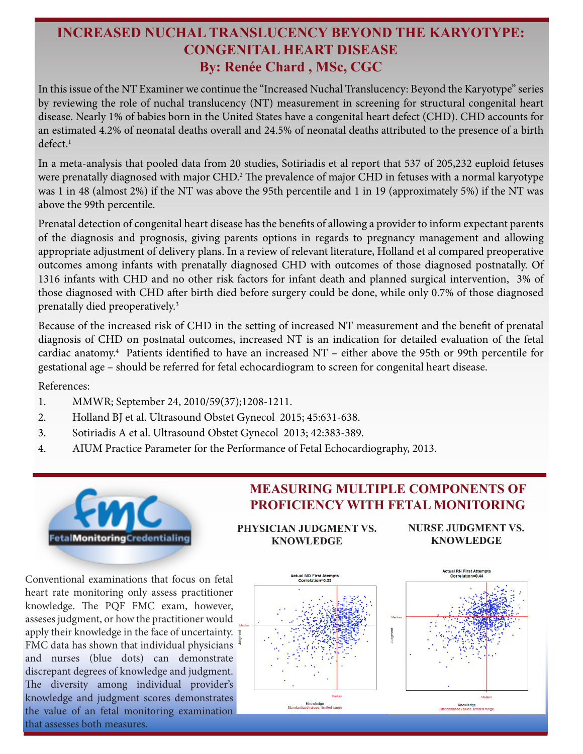## **INCREASED NUCHAL TRANSLUCENCY BEYOND THE KARYOTYPE: CONGENITAL HEART DISEASE By: Renée Chard , MSc, CGC**

In this issue of the NT Examiner we continue the "Increased Nuchal Translucency: Beyond the Karyotype" series by reviewing the role of nuchal translucency (NT) measurement in screening for structural congenital heart disease. Nearly 1% of babies born in the United States have a congenital heart defect (CHD). CHD accounts for an estimated 4.2% of neonatal deaths overall and 24.5% of neonatal deaths attributed to the presence of a birth  $defect<sup>1</sup>$ 

In a meta-analysis that pooled data from 20 studies, Sotiriadis et al report that 537 of 205,232 euploid fetuses were prenatally diagnosed with major CHD.<sup>2</sup> The prevalence of major CHD in fetuses with a normal karyotype was 1 in 48 (almost 2%) if the NT was above the 95th percentile and 1 in 19 (approximately 5%) if the NT was above the 99th percentile.

Prenatal detection of congenital heart disease has the benefits of allowing a provider to inform expectant parents of the diagnosis and prognosis, giving parents options in regards to pregnancy management and allowing appropriate adjustment of delivery plans. In a review of relevant literature, Holland et al compared preoperative outcomes among infants with prenatally diagnosed CHD with outcomes of those diagnosed postnatally. Of 1316 infants with CHD and no other risk factors for infant death and planned surgical intervention, 3% of those diagnosed with CHD after birth died before surgery could be done, while only 0.7% of those diagnosed prenatally died preoperatively.3

Because of the increased risk of CHD in the setting of increased NT measurement and the benefit of prenatal diagnosis of CHD on postnatal outcomes, increased NT is an indication for detailed evaluation of the fetal cardiac anatomy.4 Patients identified to have an increased NT – either above the 95th or 99th percentile for gestational age – should be referred for fetal echocardiogram to screen for congenital heart disease.

References:

- 1. MMWR; September 24, 2010/59(37);1208-1211.
- 2. Holland BJ et al. Ultrasound Obstet Gynecol 2015; 45:631-638.
- 3. Sotiriadis A et al. Ultrasound Obstet Gynecol 2013; 42:383-389.
- 4. AIUM Practice Parameter for the Performance of Fetal Echocardiography, 2013.



**MEASURING MULTIPLE COMPONENTS OF PROFICIENCY WITH FETAL MONITORING** 

**PHYSICIAN JUDGMENT VS. KNOWLEDGE**

**NURSE JUDGMENT VS. KNOWLEDGE**

Conventional examinations that focus on fetal heart rate monitoring only assess practitioner knowledge. The PQF FMC exam, however, asseses judgment, or how the practitioner would apply their knowledge in the face of uncertainty. FMC data has shown that individual physicians and nurses (blue dots) can demonstrate discrepant degrees of knowledge and judgment. The diversity among individual provider's knowledge and judgment scores demonstrates the value of an fetal monitoring examination that assesses both measures.